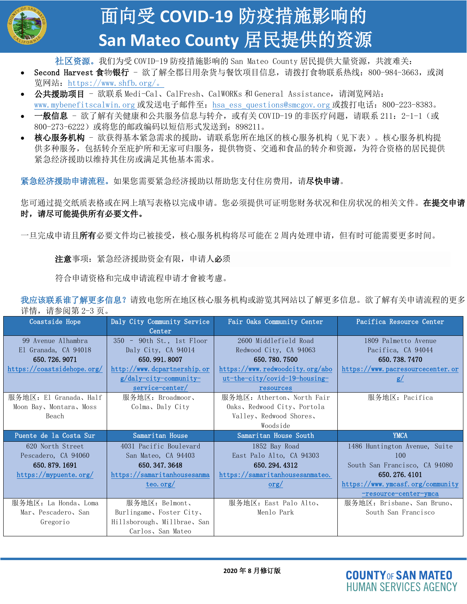

## 面向受 **COVID-19** 防疫措施影响的 **San Mateo County** 居民提供的资源

社区资源。我们为受 COVID-19 防疫措施影响的 San Mateo County 居民提供大量资源, 共渡难关:

- Second Harvest 食物银行 欲了解全郡日用杂货与餐饮项目信息, 请拨打食物联系热线: 800-984-3663, 或浏 览网站:<https://www.shfb.org/>。
- 公共援助项目 欲联系 Medi-Cal、CalFresh、CalWORKs 和 General Assistance, 请浏览网站: [www.mybenefitscalwin.org](http://www.mybenefitscalwin.org/) 或发送电子邮件至: [hsa\\_ess\\_questions@smcgov.org](mailto:HSA_ESS_QUESTIONS@SMCGOV.ORG) 或拨打电话: 800-223-8383。
- 一般信息 欲了解有关健康和公共服务信息与转介,或有关 COVID-19 的非医疗问题,请联系 211: 2-1-1 (或 800-273-6222)或将您的邮政编码以短信形式发送到:898211。
- 核心服务机构 欲获得基本紧急需求的援助,请联系您所在地区的核心服务机构(见下表)。核心服务机构提 供多种服务,包括转介至庇护所和无家可归服务,提供物资、交通和食品的转介和资源,为符合资格的居民提供 紧急经济援助以维持其住房或满足其他基本需求。

紧急经济援助申请流程。如果您需要紧急经济援助以帮助您支付住房费用,请尽快申请。

您可通过提交纸质表格或在网上填写表格以完成申请。您必须提供可证明您财务状况和住房状况的相关文件。 在**提交申请** 时,请尽可能提供所有必要文件。

一旦完成申请且**所有**必要文件均已被接受,核心服务机构将尽可能在 2 周内处理申请,但有时可能需要更多时间。

注意事项:紧急经济援助资金有限,申请人必须

符合申请资格和完成申请流程申请才會被考慮。

我应该联系谁了解更多信息?请致电您所在地区核心服务机构或游览其网站以了解更多信息。欲了解有关申请流程的更多 详情,请参阅第 2-3 页。

| Coastside Hope             | Daly City Community Service | Fair Oaks Community Center       | Pacifica Resource Center         |
|----------------------------|-----------------------------|----------------------------------|----------------------------------|
|                            | Center                      |                                  |                                  |
| 99 Avenue Alhambra         | 350 - 90th St., 1st Floor   | 2600 Middlefield Road            | 1809 Palmetto Avenue             |
| El Granada, CA 94018       | Daly City, CA 94014         | Redwood City, CA 94063           | Pacifica, CA 94044               |
| 650.726.9071               | 650.991.8007                | 650, 780, 7500                   | 650.738.7470                     |
| https://coastsidehope.org/ | http://www.dcpartnership.or | https://www.redwoodcity.org/abo  | https://www.pacresourcecenter.or |
|                            | $g/daly$ -city-community-   | $ut$ -the-city/covid-19-housing- | g/                               |
|                            | service-center/             | resources                        |                                  |
| 服务地区: El Granada、Half      | 服务地区: Broadmoor、            | 服务地区: Atherton、North Fair        | 服务地区: Pacifica                   |
| Moon Bay, Montara, Moss    | Colma, Daly City            | Oaks, Redwood City, Portola      |                                  |
| Beach                      |                             | Valley, Redwood Shores,          |                                  |
|                            |                             |                                  |                                  |
|                            |                             | Woodside                         |                                  |
| Puente de la Costa Sur     | Samaritan House             | Samaritan House South            | <b>YMCA</b>                      |
| 620 North Street           | 4031 Pacific Boulevard      | 1852 Bay Road                    | 1486 Huntington Avenue, Suite    |
| Pescadero, CA 94060        | San Mateo, CA 94403         | East Palo Alto, CA 94303         | 100                              |
| 650, 879, 1691             | 650, 347, 3648              | 650.294.4312                     | South San Francisco, CA 94080    |
| https://mypuente.org/      | https://samaritanhousesanma | https://samaritanhousesanmateo.  | 650.276.4101                     |
|                            | teo. $org/$                 | $\text{org}/$                    | https://www.ymcasf.org/community |
|                            |                             |                                  | $-$ resource $-$ center $-$ ymca |
| 服务地区: La Honda、Loma        | 服务地区: Belmont、              | 服务地区: East Palo Alto、            | 服务地区: Brisbane、San Bruno、        |
| Mar, Pescadero, San        | Burlingame, Foster City,    | Menlo Park                       | South San Francisco              |
| Gregorio                   | Hillsborough, Millbrae, San |                                  |                                  |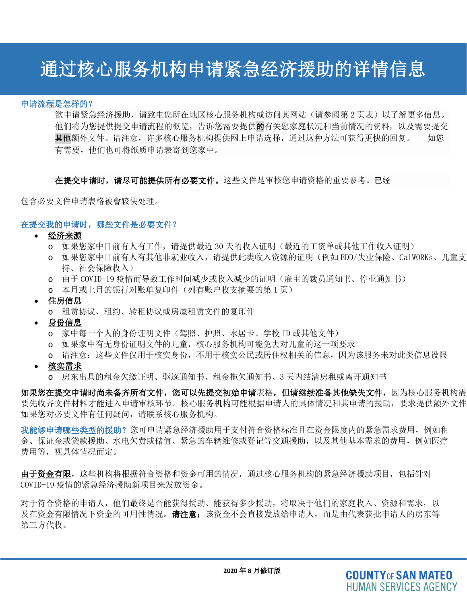# 通过核心服务机构申请紧急经济援助的详情信息

#### 申请流程是怎样的?

i<br>L

欲申请紧急经济援助,请致电您所在地区核心服务机构或访问其网站(请参阅第2页表)以了解更多信息。 他们将为您提供提交申请流程的概览,告诉您需要提供的有关您家庭状况和当前情况的资料,以及需要提交 其他额外文件。请注意,许多核心服务机构提供网上申请选择,通过这种方法可获得更快的回复。 如您 有需要,他们也可将纸质申请表寄到您家中。

在提交申请时,请尽可能提供所有必要文件。这些文件是审核您申请资格的重要参考。已经

包含必要文件申请表格被會较快处理。

#### 在提交我的申请时,哪些文件是必要文件?

• 经济来源

- o 如果您家中目前有人有工作,请提供最近 30 天的收入证明(最近的工资单或其他工作收入证明)
- o 如果您家中目前有人有其他非就业收入,请提供此类收入资源的证明(例如 EDD/失业保险、CalWORKs、儿童支 持、社会保障收入)
- o 由于 COVID-19 疫情而导致工作时间减少或收入减少的证明(雇主的裁员通知书、停业通知书)
- o 本月或上月的银行对账单复印件(列有账户收支摘要的第 1 页)
- 住房信息
	- o 租赁协议、租约、转租协议或房屋租赁文件的复印件
- 身份信息
	- o 家中每一个人的身份证明文件(驾照、护照、永居卡、学校 ID 或其他文件)
	- o 如果家中有无身份证明文件的儿童,核心服务机构可能免去对儿童的这一项要求
	- o 请注意:这些文件仅用于核实身份,不用于核实公民或居住权相关的信息,因为该服务未对此类信息设限
- 核实需求
	- o 房东出具的租金欠缴证明、驱逐通知书、租金拖欠通知书、3 天内结清房租或离开通知书

如果您在提交申请时尚未备齐所有文件,您可以先提交初始申请表格,但请继续准备其他缺失文件,因为核心服务机构需 要先收齐文件材料才能进入申请审核环节。核心服务机构可能根据申请人的具体情况和其申请的援助,要求提供额外文件 如果您对必要文件有任何疑问,请联系核心服务机构。

我能够申请哪些类型的援助?您可申请紧急经济援助用于支付符合资格标准且在资金限度内的紧急需求费用,例如租 金、保证金或贷款援助、水电欠费或储值、紧急的车辆维修或登记等交通援助,以及其他基本需求的费用,例如医疗 费用等, 视具体情况而定。

由于资金有限,这些机构将根据符合资格和资金可用的情况,通过核心服务机构的紧急经济援助项目,包括针对 COVID-19 疫情的紧急经济援助新项目来发放资金。

对于符合资格的申请人,他们最终是否能获得援助、能获得多少援助,将取决于他们的家庭收入、资源和需求,以 及在资金有限情况下资金的可用性情况。**请注意:**该资金不会直接发放给申请人,而是由代表获批申请人的房东等 第三方代收。